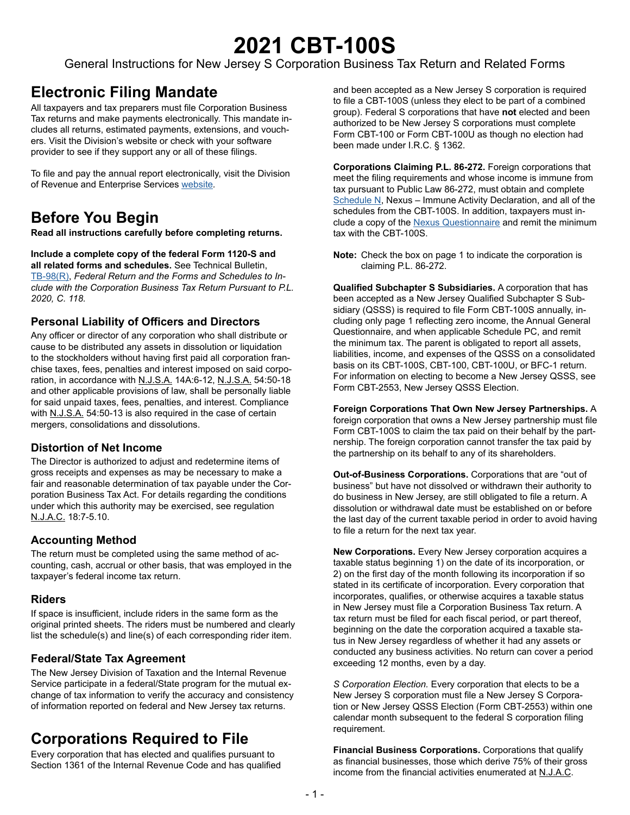# **2021 CBT-100S**

General Instructions for New Jersey S Corporation Business Tax Return and Related Forms

# **Electronic Filing Mandate**

All taxpayers and tax preparers must file Corporation Business Tax returns and make payments electronically. This mandate includes all returns, estimated payments, extensions, and vouchers. Visit the Division's [website](www.state.nj.us/treasury/taxation/payments-notices.shtml) or check with your software provider to see if they support any or all of these filings.

To file and pay the annual report electronically, visit the Division of Revenue and Enterprise Services [website](www.nj.gov/treasury/revenue)*.*

# **Before You Begin**

**Read all instructions carefully before completing returns.**

**Include a complete copy of the federal Form 1120-S and all related forms and schedules.** See Technical Bulletin, [TB-98\(R\)](https://www.state.nj.us/treasury/taxation/pdf/pubs/tb/tb98.pdf), *Federal Return and the Forms and Schedules to Include with the Corporation Business Tax Return Pursuant to P.L. 2020, C. 118.* 

## **Personal Liability of Officers and Directors**

Any officer or director of any corporation who shall distribute or cause to be distributed any assets in dissolution or liquidation to the stockholders without having first paid all corporation franchise taxes, fees, penalties and interest imposed on said corporation, in accordance with N.J.S.A. 14A:6-12, N.J.S.A. 54:50-18 and other applicable provisions of law, shall be personally liable for said unpaid taxes, fees, penalties, and interest. Compliance with N.J.S.A. 54:50-13 is also required in the case of certain mergers, consolidations and dissolutions.

## **Distortion of Net Income**

The Director is authorized to adjust and redetermine items of gross receipts and expenses as may be necessary to make a fair and reasonable determination of tax payable under the Corporation Business Tax Act. For details regarding the conditions under which this authority may be exercised, see regulation N.J.A.C. 18:7-5.10.

## **Accounting Method**

The return must be completed using the same method of accounting, cash, accrual or other basis, that was employed in the taxpayer's federal income tax return.

## **Riders**

If space is insufficient, include riders in the same form as the original printed sheets. The riders must be numbered and clearly list the schedule(s) and line(s) of each corresponding rider item.

## **Federal/State Tax Agreement**

The New Jersey Division of Taxation and the Internal Revenue Service participate in a federal/State program for the mutual exchange of tax information to verify the accuracy and consistency of information reported on federal and New Jersey tax returns.

# <span id="page-0-0"></span>**Corporations Required to File**

Every corporation that has elected and qualifies pursuant to Section 1361 of the Internal Revenue Code and has qualified and been accepted as a New Jersey S corporation is required to file a CBT-100S (unless they elect to be part of a combined group). Federal S corporations that have **not** elected and been authorized to be New Jersey S corporations must complete Form CBT-100 or Form CBT-100U as though no election had been made under I.R.C. § 1362.

**Corporations Claiming P.L. 86-272.** Foreign corporations that meet the filing requirements and whose income is immune from tax pursuant to Public Law 86-272, must obtain and complete [Schedule N,](https://www.state.nj.us/treasury/taxation/pdf/current/cbt/schnonafter.pdf) Nexus – Immune Activity Declaration, and all of the schedules from the CBT-100S. In addition, taxpayers must include a copy of the [Nexus Questionnaire](https://www.state.nj.us/treasury/taxation/pdf/other_forms/misc/nexus_survey.pdf) and remit the minimum tax with the CBT-100S.

**Note:** Check the box on page 1 to indicate the corporation is claiming P.L. 86-272.

**Qualified Subchapter S Subsidiaries.** A corporation that has been accepted as a New Jersey Qualified Subchapter S Subsidiary (QSSS) is required to file Form CBT-100S annually, including only page 1 reflecting zero income, the Annual General Questionnaire, and when applicable Schedule PC, and remit the minimum tax. The parent is obligated to report all assets, liabilities, income, and expenses of the QSSS on a consolidated basis on its CBT-100S, CBT-100, CBT-100U, or BFC-1 return. For information on electing to become a New Jersey QSSS, see Form CBT-2553, New Jersey QSSS Election.

**Foreign Corporations That Own New Jersey Partnerships.** A foreign corporation that owns a New Jersey partnership must file Form CBT-100S to claim the tax paid on their behalf by the partnership. The foreign corporation cannot transfer the tax paid by the partnership on its behalf to any of its shareholders.

**Out-of-Business Corporations.** Corporations that are "out of business" but have not dissolved or withdrawn their authority to do business in New Jersey, are still obligated to file a return. A dissolution or withdrawal date must be established on or before the last day of the current taxable period in order to avoid having to file a return for the next tax year.

**New Corporations.** Every New Jersey corporation acquires a taxable status beginning 1) on the date of its incorporation, or 2) on the first day of the month following its incorporation if so stated in its certificate of incorporation. Every corporation that incorporates, qualifies, or otherwise acquires a taxable status in New Jersey must file a Corporation Business Tax return. A tax return must be filed for each fiscal period, or part thereof, beginning on the date the corporation acquired a taxable status in New Jersey regardless of whether it had any assets or conducted any business activities. No return can cover a period exceeding 12 months, even by a day.

*S Corporation Election.* Every corporation that elects to be a New Jersey S corporation must file a New Jersey S Corporation or New Jersey QSSS Election (Form CBT-2553) within one calendar month subsequent to the federal S corporation filing requirement.

**Financial Business Corporations.** Corporations that qualify as financial businesses, those which derive 75% of their gross income from the financial activities enumerated at N.J.A.C.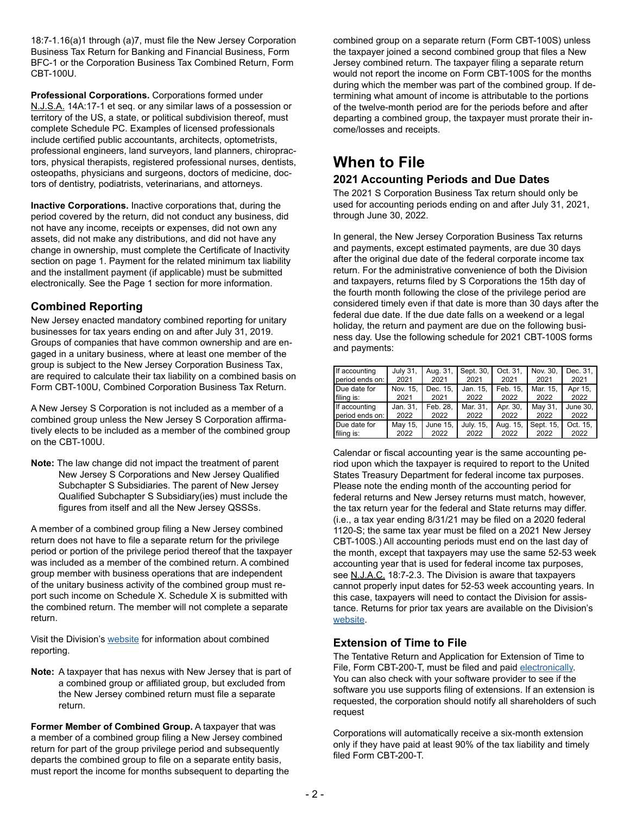18:7-1.16(a)1 through (a)7, must file the New Jersey Corporation Business Tax Return for Banking and Financial Business, Form BFC-1 or the Corporation Business Tax Combined Return, Form CBT-100U.

**Professional Corporations.** Corporations formed under N.J.S.A. 14A:17-1 et seq. or any similar laws of a possession or territory of the US, a state, or political subdivision thereof, must complete Schedule PC. Examples of licensed professionals include certified public accountants, architects, optometrists, professional engineers, land surveyors, land planners, chiropractors, physical therapists, registered professional nurses, dentists, osteopaths, physicians and surgeons, doctors of medicine, doctors of dentistry, podiatrists, veterinarians, and attorneys.

**Inactive Corporations.** Inactive corporations that, during the period covered by the return, did not conduct any business, did not have any income, receipts or expenses, did not own any assets, did not make any distributions, and did not have any change in ownership, must complete the Certificate of Inactivity section on page 1. Payment for the related minimum tax liability and the installment payment (if applicable) must be submitted electronically. See the Page 1 section for more information.

## **Combined Reporting**

New Jersey enacted mandatory combined reporting for unitary businesses for tax years ending on and after July 31, 2019. Groups of companies that have common ownership and are engaged in a unitary business, where at least one member of the group is subject to the New Jersey Corporation Business Tax, are required to calculate their tax liability on a combined basis on Form CBT-100U, Combined Corporation Business Tax Return.

A New Jersey S Corporation is not included as a member of a combined group unless the New Jersey S Corporation affirmatively elects to be included as a member of the combined group on the CBT-100U.

**Note:** The law change did not impact the treatment of parent New Jersey S Corporations and New Jersey Qualified Subchapter S Subsidiaries. The parent of New Jersey Qualified Subchapter S Subsidiary(ies) must include the figures from itself and all the New Jersey QSSSs.

A member of a combined group filing a New Jersey combined return does not have to file a separate return for the privilege period or portion of the privilege period thereof that the taxpayer was included as a member of the combined return. A combined group member with business operations that are independent of the unitary business activity of the combined group must report such income on Schedule X. Schedule X is submitted with the combined return. The member will not complete a separate return.

Visit the Division's [website](https://www.state.nj.us/treasury/taxation/cbt/cbtreform.shtml) for information about combined reporting.

**Note:** A taxpayer that has nexus with New Jersey that is part of a combined group or affiliated group, but excluded from the New Jersey combined return must file a separate return.

**Former Member of Combined Group.** A taxpayer that was a member of a combined group filing a New Jersey combined return for part of the group privilege period and subsequently departs the combined group to file on a separate entity basis, must report the income for months subsequent to departing the combined group on a separate return (Form CBT-100S) unless the taxpayer joined a second combined group that files a New Jersey combined return. The taxpayer filing a separate return would not report the income on Form CBT-100S for the months during which the member was part of the combined group. If determining what amount of income is attributable to the portions of the twelve-month period are for the periods before and after departing a combined group, the taxpayer must prorate their income/losses and receipts.

# **When to File**

## **2021 Accounting Periods and Due Dates**

The 2021 S Corporation Business Tax return should only be used for accounting periods ending on and after July 31, 2021, through June 30, 2022.

In general, the New Jersey Corporation Business Tax returns and payments, except estimated payments, are due 30 days after the original due date of the federal corporate income tax return. For the administrative convenience of both the Division and taxpayers, returns filed by S Corporations the 15th day of the fourth month following the close of the privilege period are considered timely even if that date is more than 30 days after the federal due date. If the due date falls on a weekend or a legal holiday, the return and payment are due on the following business day. Use the following schedule for 2021 CBT-100S forms and payments:

| If accounting   | <b>July 31.</b> | Aug. 31, | Sept. 30, | Oct. 31, | Nov. 30.  | Dec. 31, |
|-----------------|-----------------|----------|-----------|----------|-----------|----------|
| period ends on: | 2021            | 2021     | 2021      | 2021     | 2021      | 2021     |
| Due date for    | Nov. 15,        | Dec. 15, | Jan. 15,  | Feb. 15. | Mar. 15,  | Apr 15,  |
| filing is:      | 2021            | 2021     | 2022      | 2022     | 2022      | 2022     |
| If accounting   | Jan. 31,        | Feb. 28, | Mar. 31,  | Apr. 30, | May 31,   | June 30. |
| period ends on: | 2022            | 2022     | 2022      | 2022     | 2022      | 2022     |
| Due date for    | May 15,         | June 15, | July. 15, | Aug. 15, | Sept. 15, | Oct. 15, |
| filing is:      | 2022            | 2022     | 2022      | 2022     | 2022      | 2022     |

Calendar or fiscal accounting year is the same accounting period upon which the taxpayer is required to report to the United States Treasury Department for federal income tax purposes. Please note the ending month of the accounting period for federal returns and New Jersey returns must match, however, the tax return year for the federal and State returns may differ. (i.e., a tax year ending 8/31/21 may be filed on a 2020 federal 1120-S; the same tax year must be filed on a 2021 New Jersey CBT-100S.) All accounting periods must end on the last day of the month, except that taxpayers may use the same 52-53 week accounting year that is used for federal income tax purposes, see N.J.A.C. 18:7-2.3. The Division is aware that taxpayers cannot properly input dates for 52-53 week accounting years. In this case, taxpayers will need to contact the Division for assistance. Returns for prior tax years are available on the Division's [website.](https://www.state.nj.us/treasury/taxation/prntcbt-prioryr.shtml)

## **Extension of Time to File**

The Tentative Return and Application for Extension of Time to File, Form CBT-200-T, must be filed and paid [electronically.](https://www1.state.nj.us/TYTR_BusinessFilings/jsp/common/Login.jsp?taxcode=20) You can also check with your software provider to see if the software you use supports filing of extensions. If an extension is requested, the corporation should notify all shareholders of such request

Corporations will automatically receive a six-month extension only if they have paid at least 90% of the tax liability and timely filed Form CBT-200-T.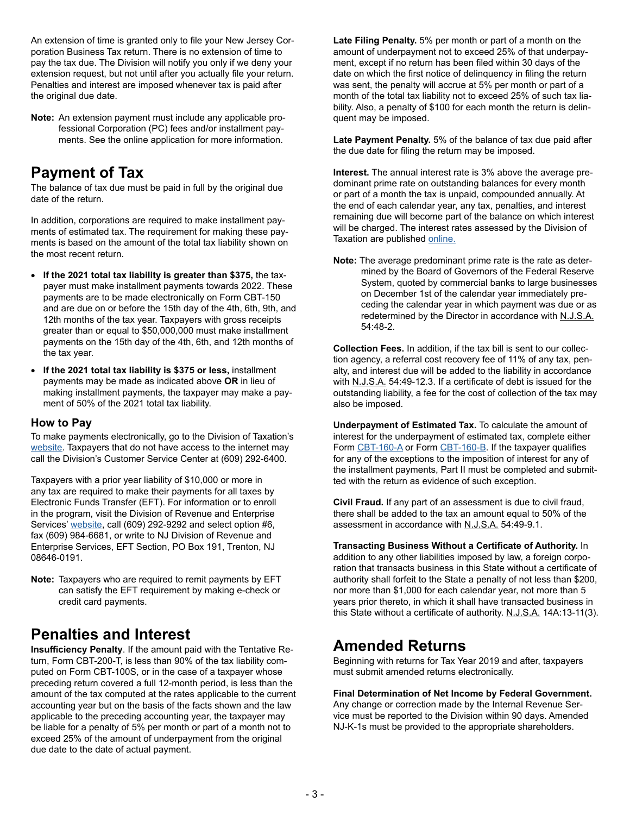An extension of time is granted only to file your New Jersey Corporation Business Tax return. There is no extension of time to pay the tax due. The Division will notify you only if we deny your extension request, but not until after you actually file your return. Penalties and interest are imposed whenever tax is paid after the original due date.

**Note:** An extension payment must include any applicable professional Corporation (PC) fees and/or installment payments. See the online application for more information.

# **Payment of Tax**

The balance of tax due must be paid in full by the original due date of the return.

In addition, corporations are required to make installment payments of estimated tax. The requirement for making these payments is based on the amount of the total tax liability shown on the most recent return.

- **If the 2021 total tax liability is greater than \$375,** the taxpayer must make installment payments towards 2022. These payments are to be made electronically on Form CBT-150 and are due on or before the 15th day of the 4th, 6th, 9th, and 12th months of the tax year. Taxpayers with gross receipts greater than or equal to \$50,000,000 must make installment payments on the 15th day of the 4th, 6th, and 12th months of the tax year.
- **If the 2021 total tax liability is \$375 or less,** installment payments may be made as indicated above **OR** in lieu of making installment payments, the taxpayer may make a payment of 50% of the 2021 total tax liability.

## **How to Pay**

To make payments electronically, go to the Division of Taxation's [website.](https://www1.state.nj.us/TYTR_BusinessFilings/jsp/common/Login.jsp?taxcode=20
) Taxpayers that do not have access to the internet may call the Division's Customer Service Center at (609) 292-6400.

Taxpayers with a prior year liability of \$10,000 or more in any tax are required to make their payments for all taxes by Electronic Funds Transfer (EFT). For information or to enroll in the program, visit the Division of Revenue and Enterprise Services' [website](www.nj.gov/treasury/revenue/eft1.shtml), call (609) 292-9292 and select option #6, fax (609) 984-6681, or write to NJ Division of Revenue and Enterprise Services, EFT Section, PO Box 191, Trenton, NJ 08646-0191.

**Note:** Taxpayers who are required to remit payments by EFT can satisfy the EFT requirement by making e-check or credit card payments.

# **Penalties and Interest**

**Insufficiency Penalty**. If the amount paid with the Tentative Return, Form CBT-200-T, is less than 90% of the tax liability computed on Form CBT-100S, or in the case of a taxpayer whose preceding return covered a full 12-month period, is less than the amount of the tax computed at the rates applicable to the current accounting year but on the basis of the facts shown and the law applicable to the preceding accounting year, the taxpayer may be liable for a penalty of 5% per month or part of a month not to exceed 25% of the amount of underpayment from the original due date to the date of actual payment.

**Late Filing Penalty.** 5% per month or part of a month on the amount of underpayment not to exceed 25% of that underpayment, except if no return has been filed within 30 days of the date on which the first notice of delinquency in filing the return was sent, the penalty will accrue at 5% per month or part of a month of the total tax liability not to exceed 25% of such tax liability. Also, a penalty of \$100 for each month the return is delinquent may be imposed.

**Late Payment Penalty.** 5% of the balance of tax due paid after the due date for filing the return may be imposed.

**Interest.** The annual interest rate is 3% above the average predominant prime rate on outstanding balances for every month or part of a month the tax is unpaid, compounded annually. At the end of each calendar year, any tax, penalties, and interest remaining due will become part of the balance on which interest will be charged. The interest rates assessed by the Division of Taxation are published [online.](https://www.state.nj.us/treasury/taxation/interest.shtml)

**Note:** The average predominant prime rate is the rate as determined by the Board of Governors of the Federal Reserve System, quoted by commercial banks to large businesses on December 1st of the calendar year immediately preceding the calendar year in which payment was due or as redetermined by the Director in accordance with N.J.S.A. 54:48-2.

**Collection Fees.** In addition, if the tax bill is sent to our collection agency, a referral cost recovery fee of 11% of any tax, penalty, and interest due will be added to the liability in accordance with N.J.S.A. 54:49-12.3. If a certificate of debt is issued for the outstanding liability, a fee for the cost of collection of the tax may also be imposed.

**Underpayment of Estimated Tax.** To calculate the amount of interest for the underpayment of estimated tax, complete either Form [CBT-160-A](https://www.state.nj.us/treasury/taxation/pdf/current/cbt/cbt160a.pdf) or Form [CBT-160-B.](https://www.state.nj.us/treasury/taxation/pdf/current/cbt/cbt160b.pdf) If the taxpayer qualifies for any of the exceptions to the imposition of interest for any of the installment payments, Part II must be completed and submitted with the return as evidence of such exception.

**Civil Fraud.** If any part of an assessment is due to civil fraud, there shall be added to the tax an amount equal to 50% of the assessment in accordance with N.J.S.A. 54:49-9.1.

**Transacting Business Without a Certificate of Authority.** In addition to any other liabilities imposed by law, a foreign corporation that transacts business in this State without a certificate of authority shall forfeit to the State a penalty of not less than \$200, nor more than \$1,000 for each calendar year, not more than 5 years prior thereto, in which it shall have transacted business in this State without a certificate of authority. N.J.S.A. 14A:13-11(3).

## **Amended Returns**

Beginning with returns for Tax Year 2019 and after, taxpayers must submit amended returns electronically.

**Final Determination of Net Income by Federal Government.**  Any change or correction made by the Internal Revenue Service must be reported to the Division within 90 days. Amended NJ-K-1s must be provided to the appropriate shareholders.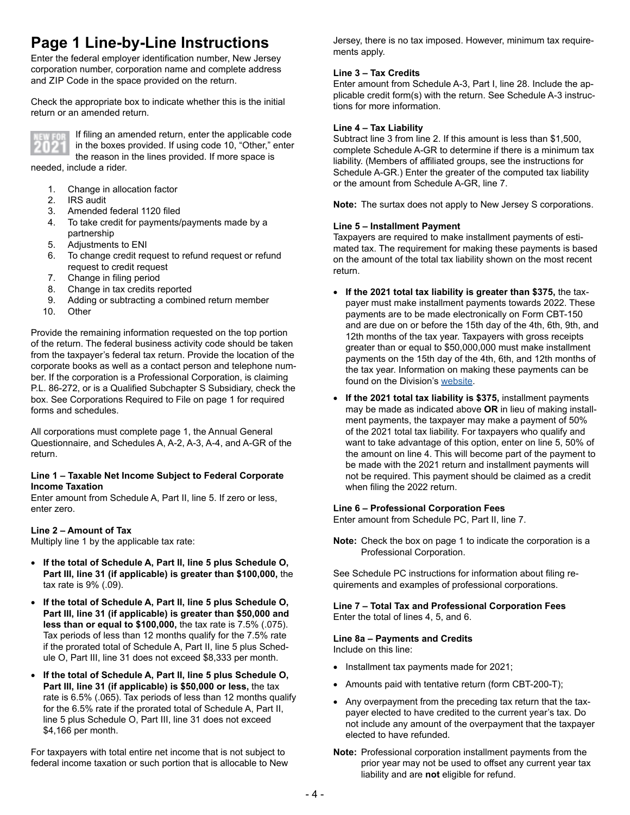# **Page 1 Line-by-Line Instructions**

Enter the federal employer identification number, New Jersey corporation number, corporation name and complete address and ZIP Code in the space provided on the return.

Check the appropriate box to indicate whether this is the initial return or an amended return.



If filing an amended return, enter the applicable code in the boxes provided. If using code 10, "Other," enter the reason in the lines provided. If more space is

needed, include a rider.

- 1. Change in allocation factor
- 2. IRS audit
- 3. Amended federal 1120 filed
- 4. To take credit for payments/payments made by a partnership
- 5. Adjustments to ENI
- 6. To change credit request to refund request or refund request to credit request
- 7. Change in filing period<br>8. Change in tax credits re
- 8. Change in tax credits reported<br>9. Adding or subtracting a combine
- 9. Adding or subtracting a combined return member
- **Other**

Provide the remaining information requested on the top portion of the return. The federal business activity code should be taken from the taxpayer's federal tax return. Provide the location of the corporate books as well as a contact person and telephone number. If the corporation is a Professional Corporation, is claiming P.L. 86-272, or is a Qualified Subchapter S Subsidiary, check the box. See [Corporations Required to File](#page-0-0) on page 1 for required forms and schedules.

All corporations must complete page 1, the Annual General Questionnaire, and Schedules A, A-2, A-3, A-4, and A-GR of the return.

#### **Line 1 – Taxable Net Income Subject to Federal Corporate Income Taxation**

Enter amount from Schedule A, Part II, line 5. If zero or less, enter zero.

#### **Line 2 – Amount of Tax**

Multiply line 1 by the applicable tax rate:

- **If the total of Schedule A, Part II, line 5 plus Schedule O, Part III, line 31 (if applicable) is greater than \$100,000,** the tax rate is 9% (.09).
- **If the total of Schedule A, Part II, line 5 plus Schedule O, Part III, line 31 (if applicable) is greater than \$50,000 and less than or equal to \$100,000,** the tax rate is 7.5% (.075). Tax periods of less than 12 months qualify for the 7.5% rate if the prorated total of Schedule A, Part II, line 5 plus Schedule O, Part III, line 31 does not exceed \$8,333 per month.
- **If the total of Schedule A, Part II, line 5 plus Schedule O, Part III, line 31 (if applicable) is \$50,000 or less,** the tax rate is 6.5% (.065). Tax periods of less than 12 months qualify for the 6.5% rate if the prorated total of Schedule A, Part II, line 5 plus Schedule O, Part III, line 31 does not exceed \$4,166 per month.

For taxpayers with total entire net income that is not subject to federal income taxation or such portion that is allocable to New Jersey, there is no tax imposed. However, minimum tax requirements apply.

#### **Line 3 – Tax Credits**

Enter amount from Schedule A-3, Part I, line 28. Include the applicable credit form(s) with the return. See Schedule A-3 instructions for more information.

#### **Line 4 – Tax Liability**

Subtract line 3 from line 2. If this amount is less than \$1,500, complete Schedule A-GR to determine if there is a minimum tax liability. (Members of affiliated groups, see the instructions for Schedule A-GR.) Enter the greater of the computed tax liability or the amount from Schedule A-GR, line 7.

**Note:** The surtax does not apply to New Jersey S corporations.

#### **Line 5 – Installment Payment**

Taxpayers are required to make installment payments of estimated tax. The requirement for making these payments is based on the amount of the total tax liability shown on the most recent return.

- **If the 2021 total tax liability is greater than \$375,** the taxpayer must make installment payments towards 2022. These payments are to be made electronically on Form CBT-150 and are due on or before the 15th day of the 4th, 6th, 9th, and 12th months of the tax year. Taxpayers with gross receipts greater than or equal to \$50,000,000 must make installment payments on the 15th day of the 4th, 6th, and 12th months of the tax year. Information on making these payments can be found on the Division's [website](https://www.state.nj.us/treasury/taxation/payments-notices.shtml).
- **If the 2021 total tax liability is \$375,** installment payments may be made as indicated above **OR** in lieu of making installment payments, the taxpayer may make a payment of 50% of the 2021 total tax liability. For taxpayers who qualify and want to take advantage of this option, enter on line 5, 50% of the amount on line 4. This will become part of the payment to be made with the 2021 return and installment payments will not be required. This payment should be claimed as a credit when filing the 2022 return.

## **Line 6 – Professional Corporation Fees**

Enter amount from Schedule PC, Part II, line 7.

**Note:** Check the box on page 1 to indicate the corporation is a Professional Corporation.

See Schedule PC instructions for information about filing requirements and examples of professional corporations.

**Line 7 – Total Tax and Professional Corporation Fees**  Enter the total of lines 4, 5, and 6.

#### **Line 8a – Payments and Credits**

Include on this line:

- Installment tax payments made for 2021;
- Amounts paid with tentative return (form CBT-200-T);
- Any overpayment from the preceding tax return that the taxpayer elected to have credited to the current year's tax. Do not include any amount of the overpayment that the taxpayer elected to have refunded.
- **Note:** Professional corporation installment payments from the prior year may not be used to offset any current year tax liability and are **not** eligible for refund.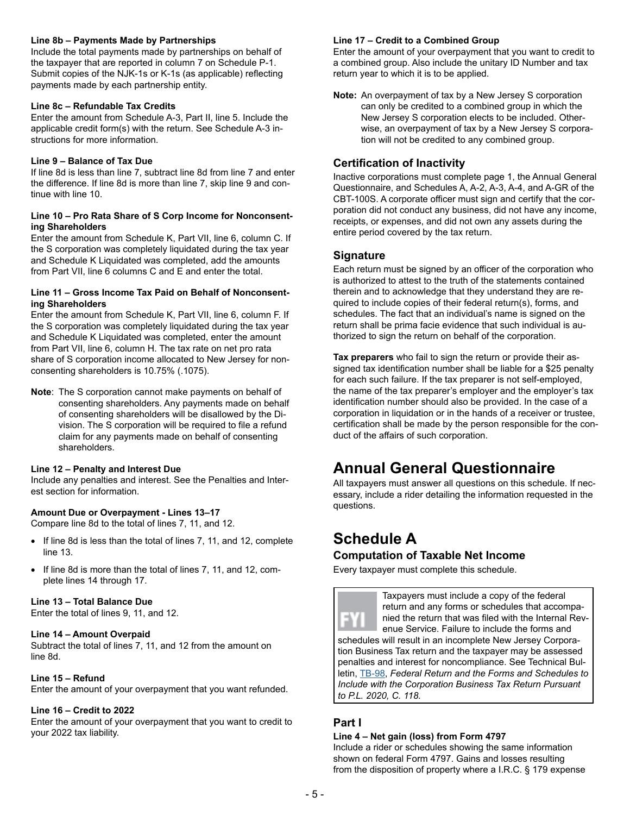#### **Line 8b – Payments Made by Partnerships**

Include the total payments made by partnerships on behalf of the taxpayer that are reported in column 7 on Schedule P-1. Submit copies of the NJK-1s or K-1s (as applicable) reflecting payments made by each partnership entity.

#### **Line 8c – Refundable Tax Credits**

Enter the amount from Schedule A-3, Part II, line 5. Include the applicable credit form(s) with the return. See Schedule A-3 instructions for more information.

#### **Line 9 – Balance of Tax Due**

If line 8d is less than line 7, subtract line 8d from line 7 and enter the difference. If line 8d is more than line 7, skip line 9 and continue with line 10.

#### **Line 10 – Pro Rata Share of S Corp Income for Nonconsenting Shareholders**

Enter the amount from Schedule K, Part VII, line 6, column C. If the S corporation was completely liquidated during the tax year and Schedule K Liquidated was completed, add the amounts from Part VII, line 6 columns C and E and enter the total.

#### **Line 11 – Gross Income Tax Paid on Behalf of Nonconsenting Shareholders**

Enter the amount from Schedule K, Part VII, line 6, column F. If the S corporation was completely liquidated during the tax year and Schedule K Liquidated was completed, enter the amount from Part VII, line 6, column H. The tax rate on net pro rata share of S corporation income allocated to New Jersey for nonconsenting shareholders is 10.75% (.1075).

**Note**: The S corporation cannot make payments on behalf of consenting shareholders. Any payments made on behalf of consenting shareholders will be disallowed by the Division. The S corporation will be required to file a refund claim for any payments made on behalf of consenting shareholders.

#### **Line 12 – Penalty and Interest Due**

Include any penalties and interest. See the Penalties and Interest section for information.

## **Amount Due or Overpayment - Lines 13–17**

Compare line 8d to the total of lines 7, 11, and 12.

- If line 8d is less than the total of lines 7, 11, and 12, complete line 13.
- If line 8d is more than the total of lines 7, 11, and 12, complete lines 14 through 17.

#### **Line 13 – Total Balance Due**

Enter the total of lines 9, 11, and 12.

#### **Line 14 – Amount Overpaid**

Subtract the total of lines 7, 11, and 12 from the amount on line 8d.

#### **Line 15 – Refund**

Enter the amount of your overpayment that you want refunded.

#### **Line 16 – Credit to 2022**

Enter the amount of your overpayment that you want to credit to your 2022 tax liability.

#### **Line 17 – Credit to a Combined Group**

Enter the amount of your overpayment that you want to credit to a combined group. Also include the unitary ID Number and tax return year to which it is to be applied.

**Note:** An overpayment of tax by a New Jersey S corporation can only be credited to a combined group in which the New Jersey S corporation elects to be included. Otherwise, an overpayment of tax by a New Jersey S corporation will not be credited to any combined group.

## **Certification of Inactivity**

Inactive corporations must complete page 1, the Annual General Questionnaire, and Schedules A, A-2, A-3, A-4, and A-GR of the CBT-100S. A corporate officer must sign and certify that the corporation did not conduct any business, did not have any income, receipts, or expenses, and did not own any assets during the entire period covered by the tax return.

## **Signature**

Each return must be signed by an officer of the corporation who is authorized to attest to the truth of the statements contained therein and to acknowledge that they understand they are required to include copies of their federal return(s), forms, and schedules. The fact that an individual's name is signed on the return shall be prima facie evidence that such individual is authorized to sign the return on behalf of the corporation.

**Tax preparers** who fail to sign the return or provide their assigned tax identification number shall be liable for a \$25 penalty for each such failure. If the tax preparer is not self-employed, the name of the tax preparer's employer and the employer's tax identification number should also be provided. In the case of a corporation in liquidation or in the hands of a receiver or trustee, certification shall be made by the person responsible for the conduct of the affairs of such corporation.

# **Annual General Questionnaire**

All taxpayers must answer all questions on this schedule. If necessary, include a rider detailing the information requested in the questions.

# **Schedule A**

## **Computation of Taxable Net Income**

Every taxpayer must complete this schedule.

Taxpayers must include a copy of the federal return and any forms or schedules that accompanied the return that was filed with the Internal Revenue Service. Failure to include the forms and schedules will result in an incomplete New Jersey Corporation Business Tax return and the taxpayer may be assessed penalties and interest for noncompliance. See Technical Bulletin, [TB-98](https://www.state.nj.us/treasury/taxation/pdf/pubs/tb/tb98.pdf), *Federal Return and the Forms and Schedules to Include with the Corporation Business Tax Return Pursuant to P.L. 2020, C. 118.*

## **Part I**

#### **Line 4 – Net gain (loss) from Form 4797**

Include a rider or schedules showing the same information shown on federal Form 4797. Gains and losses resulting from the disposition of property where a I.R.C. § 179 expense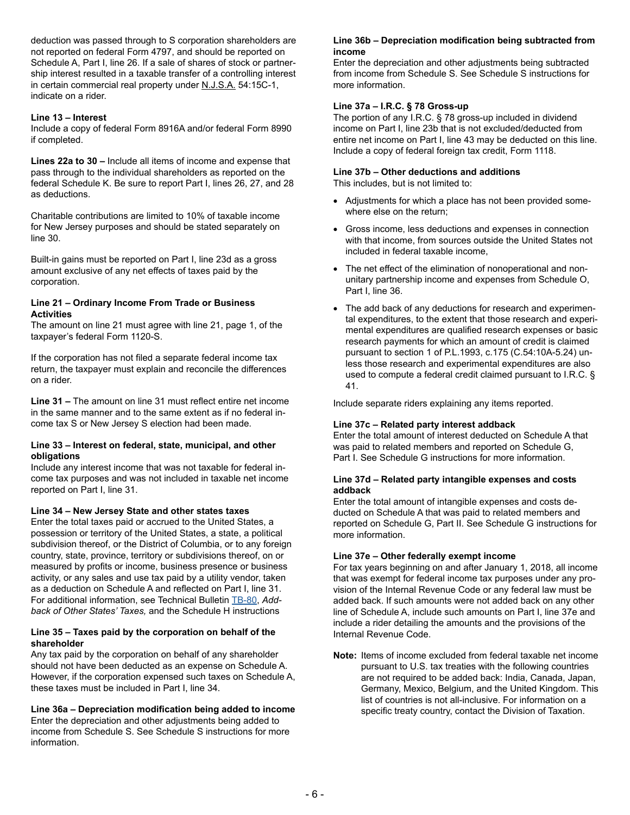deduction was passed through to S corporation shareholders are not reported on federal Form 4797, and should be reported on Schedule A, Part I, line 26. If a sale of shares of stock or partnership interest resulted in a taxable transfer of a controlling interest in certain commercial real property under N.J.S.A. 54:15C-1, indicate on a rider.

#### **Line 13 – Interest**

Include a copy of federal Form 8916A and/or federal Form 8990 if completed.

**Lines 22a to 30 –** Include all items of income and expense that pass through to the individual shareholders as reported on the federal Schedule K. Be sure to report Part I, lines 26, 27, and 28 as deductions.

Charitable contributions are limited to 10% of taxable income for New Jersey purposes and should be stated separately on line 30.

Built-in gains must be reported on Part I, line 23d as a gross amount exclusive of any net effects of taxes paid by the corporation.

#### **Line 21 – Ordinary Income From Trade or Business Activities**

The amount on line 21 must agree with line 21, page 1, of the taxpayer's federal Form 1120-S.

If the corporation has not filed a separate federal income tax return, the taxpayer must explain and reconcile the differences on a rider.

**Line 31 –** The amount on line 31 must reflect entire net income in the same manner and to the same extent as if no federal income tax S or New Jersey S election had been made.

#### **Line 33 – Interest on federal, state, municipal, and other obligations**

Include any interest income that was not taxable for federal income tax purposes and was not included in taxable net income reported on Part I, line 31.

#### **Line 34 – New Jersey State and other states taxes**

Enter the total taxes paid or accrued to the United States, a possession or territory of the United States, a state, a political subdivision thereof, or the District of Columbia, or to any foreign country, state, province, territory or subdivisions thereof, on or measured by profits or income, business presence or business activity, or any sales and use tax paid by a utility vendor, taken as a deduction on Schedule A and reflected on Part I, line 31. For additional information, see Technical Bulletin T[B-80](https://www.state.nj.us/treasury/taxation/pdf/pubs/tb/tb80.pdf), *Addback of Other States' Taxes,* and the Schedule H instructions

#### **Line 35 – Taxes paid by the corporation on behalf of the shareholder**

Any tax paid by the corporation on behalf of any shareholder should not have been deducted as an expense on Schedule A. However, if the corporation expensed such taxes on Schedule A, these taxes must be included in Part I, line 34.

#### **Line 36a – Depreciation modification being added to income**

Enter the depreciation and other adjustments being added to income from Schedule S. See Schedule S instructions for more information.

#### **Line 36b – Depreciation modification being subtracted from income**

Enter the depreciation and other adjustments being subtracted from income from Schedule S. See Schedule S instructions for more information.

#### **Line 37a – I.R.C. § 78 Gross-up**

The portion of any I.R.C. § 78 gross-up included in dividend income on Part I, line 23b that is not excluded/deducted from entire net income on Part I, line 43 may be deducted on this line. Include a copy of federal foreign tax credit, Form 1118.

## **Line 37b – Other deductions and additions**

This includes, but is not limited to:

- Adjustments for which a place has not been provided somewhere else on the return;
- Gross income, less deductions and expenses in connection with that income, from sources outside the United States not included in federal taxable income,
- The net effect of the elimination of nonoperational and nonunitary partnership income and expenses from Schedule O, Part I, line 36.
- The add back of any deductions for research and experimental expenditures, to the extent that those research and experimental expenditures are qualified research expenses or basic research payments for which an amount of credit is claimed pursuant to section 1 of P.L.1993, c.175 (C.54:10A-5.24) unless those research and experimental expenditures are also used to compute a federal credit claimed pursuant to I.R.C. § 41.

Include separate riders explaining any items reported.

#### **Line 37c – Related party interest addback**

Enter the total amount of interest deducted on Schedule A that was paid to related members and reported on Schedule G, Part I. See Schedule G instructions for more information.

#### **Line 37d – Related party intangible expenses and costs addback**

Enter the total amount of intangible expenses and costs deducted on Schedule A that was paid to related members and reported on Schedule G, Part II. See Schedule G instructions for more information.

#### **Line 37e – Other federally exempt income**

For tax years beginning on and after January 1, 2018, all income that was exempt for federal income tax purposes under any provision of the Internal Revenue Code or any federal law must be added back. If such amounts were not added back on any other line of Schedule A, include such amounts on Part I, line 37e and include a rider detailing the amounts and the provisions of the Internal Revenue Code.

**Note:** Items of income excluded from federal taxable net income pursuant to U.S. tax treaties with the following countries are not required to be added back: India, Canada, Japan, Germany, Mexico, Belgium, and the United Kingdom. This list of countries is not all-inclusive. For information on a specific treaty country, contact the Division of Taxation.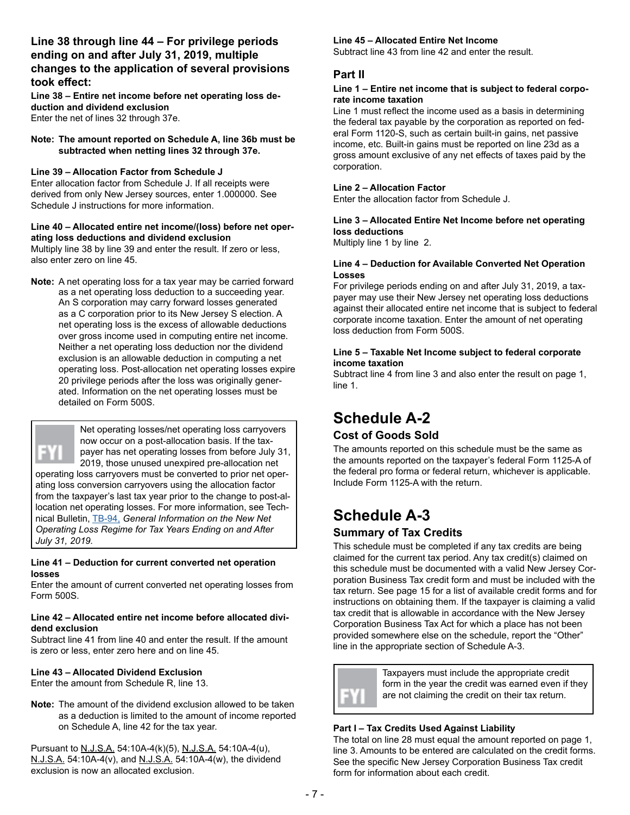## **Line 38 through line 44 – For privilege periods ending on and after July 31, 2019, multiple changes to the application of several provisions took effect:**

**Line 38 – Entire net income before net operating loss deduction and dividend exclusion** Enter the net of lines 32 through 37e.

#### **Note: The amount reported on Schedule A, line 36b must be subtracted when netting lines 32 through 37e.**

## **Line 39 – Allocation Factor from Schedule J**

Enter allocation factor from Schedule J. If all receipts were derived from only New Jersey sources, enter 1.000000. See Schedule J instructions for more information.

#### **Line 40 – Allocated entire net income/(loss) before net operating loss deductions and dividend exclusion**

Multiply line 38 by line 39 and enter the result. If zero or less, also enter zero on line 45.

**Note:** A net operating loss for a tax year may be carried forward as a net operating loss deduction to a succeeding year. An S corporation may carry forward losses generated as a C corporation prior to its New Jersey S election. A net operating loss is the excess of allowable deductions over gross income used in computing entire net income. Neither a net operating loss deduction nor the dividend exclusion is an allowable deduction in computing a net operating loss. Post-allocation net operating losses expire 20 privilege periods after the loss was originally generated. Information on the net operating losses must be detailed on Form 500S.



Net operating losses/net operating loss carryovers now occur on a post-allocation basis. If the taxpayer has net operating losses from before July 31,

2019, those unused unexpired pre-allocation net operating loss carryovers must be converted to prior net operating loss conversion carryovers using the allocation factor from the taxpayer's last tax year prior to the change to post-allocation net operating losses. For more information, see Technical Bulletin, [TB-94,](https://www.state.nj.us/treasury/taxation/pdf/pubs/tb/tb94.pdf) *General Information on the New Net Operating Loss Regime for Tax Years Ending on and After July 31, 2019.*

#### **Line 41 – Deduction for current converted net operation losses**

Enter the amount of current converted net operating losses from Form 500S.

#### **Line 42 – Allocated entire net income before allocated dividend exclusion**

Subtract line 41 from line 40 and enter the result. If the amount is zero or less, enter zero here and on line 45.

## **Line 43 – Allocated Dividend Exclusion**

Enter the amount from Schedule R, line 13.

**Note:** The amount of the dividend exclusion allowed to be taken as a deduction is limited to the amount of income reported on Schedule A, line 42 for the tax year.

Pursuant to N.J.S.A. 54:10A-4(k)(5), N.J.S.A. 54:10A-4(u), N.J.S.A. 54:10A-4(v), and N.J.S.A. 54:10A-4(w), the dividend exclusion is now an allocated exclusion.

## **Line 45 – Allocated Entire Net Income**

Subtract line 43 from line 42 and enter the result.

## **Part II**

#### **Line 1 – Entire net income that is subject to federal corporate income taxation**

Line 1 must reflect the income used as a basis in determining the federal tax payable by the corporation as reported on federal Form 1120-S, such as certain built-in gains, net passive income, etc. Built-in gains must be reported on line 23d as a gross amount exclusive of any net effects of taxes paid by the corporation.

## **Line 2 – Allocation Factor**

Enter the allocation factor from Schedule J.

## **Line 3 – Allocated Entire Net Income before net operating loss deductions**

Multiply line 1 by line 2.

## **Line 4 – Deduction for Available Converted Net Operation Losses**

For privilege periods ending on and after July 31, 2019, a taxpayer may use their New Jersey net operating loss deductions against their allocated entire net income that is subject to federal corporate income taxation. Enter the amount of net operating loss deduction from Form 500S.

## **Line 5 – Taxable Net Income subject to federal corporate income taxation**

Subtract line 4 from line 3 and also enter the result on page 1, line 1.

# **Schedule A-2**

## **Cost of Goods Sold**

The amounts reported on this schedule must be the same as the amounts reported on the taxpayer's federal Form 1125-A of the federal pro forma or federal return, whichever is applicable. Include Form 1125-A with the return.

# **Schedule A-3**

## **Summary of Tax Credits**

This schedule must be completed if any tax credits are being claimed for the current tax period. Any tax credit(s) claimed on this schedule must be documented with a valid New Jersey Corporation Business Tax credit form and must be included with the tax return. See page 15 for a list of available credit forms and for instructions on obtaining them. If the taxpayer is claiming a valid tax credit that is allowable in accordance with the New Jersey Corporation Business Tax Act for which a place has not been provided somewhere else on the schedule, report the "Other" line in the appropriate section of Schedule A-3.



Taxpayers must include the appropriate credit form in the year the credit was earned even if they are not claiming the credit on their tax return.

## **Part I – Tax Credits Used Against Liability**

The total on line 28 must equal the amount reported on page 1, line 3. Amounts to be entered are calculated on the credit forms. See the specific New Jersey Corporation Business Tax credit form for information about each credit.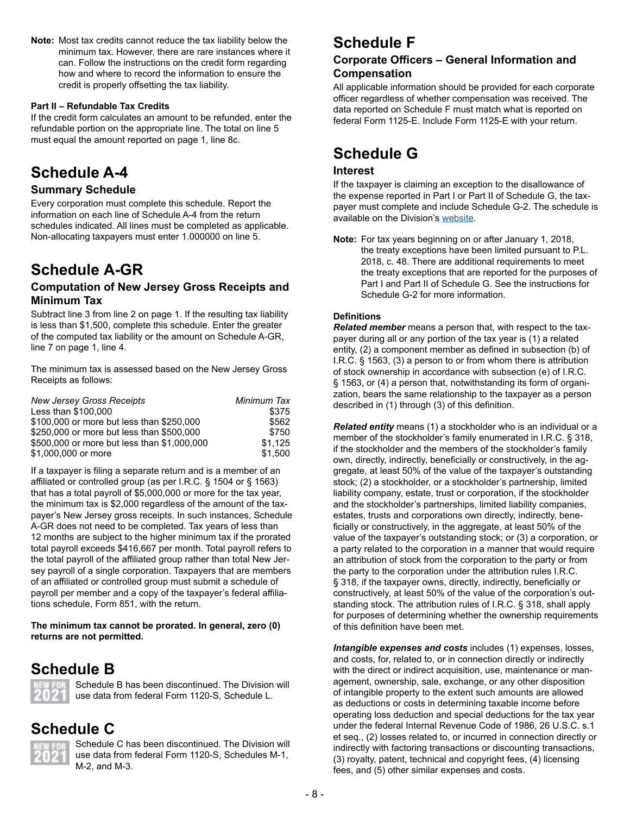**Note:** Most tax credits cannot reduce the tax liability below the minimum tax. However, there are rare instances where it can. Follow the instructions on the credit form regarding how and where to record the information to ensure the credit is properly offsetting the tax liability.

## **Part II – Refundable Tax Credits**

If the credit form calculates an amount to be refunded, enter the refundable portion on the appropriate line. The total on line 5 must equal the amount reported on page 1, line 8c.

# **Schedule A-4**

## **Summary Schedule**

Every corporation must complete this schedule. Report the information on each line of Schedule A-4 from the return schedules indicated. All lines must be completed as applicable. Non-allocating taxpayers must enter 1.000000 on line 5.

# **Schedule A-GR**

## **Computation of New Jersey Gross Receipts and Minimum Tax**

Subtract line 3 from line 2 on page 1. If the resulting tax liability is less than \$1,500, complete this schedule. Enter the greater of the computed tax liability or the amount on Schedule A-GR, line 7 on page 1, line 4.

The minimum tax is assessed based on the New Jersey Gross Receipts as follows:

| <b>New Jersey Gross Receipts</b>            | Minimum Tax |
|---------------------------------------------|-------------|
| Less than \$100,000                         | \$375       |
| \$100,000 or more but less than \$250,000   | \$562       |
| \$250,000 or more but less than \$500,000   | \$750       |
| \$500,000 or more but less than \$1,000,000 | \$1.125     |
| \$1,000,000 or more                         | \$1.500     |

If a taxpayer is filing a separate return and is a member of an affiliated or controlled group (as per I.R.C. § 1504 or § 1563) that has a total payroll of \$5,000,000 or more for the tax year, the minimum tax is \$2,000 regardless of the amount of the taxpayer's New Jersey gross receipts. In such instances, Schedule A-GR does not need to be completed. Tax years of less than 12 months are subject to the higher minimum tax if the prorated total payroll exceeds \$416,667 per month. Total payroll refers to the total payroll of the affiliated group rather than total New Jersey payroll of a single corporation. Taxpayers that are members of an affiliated or controlled group must submit a schedule of payroll per member and a copy of the taxpayer's federal affiliations schedule, Form 851, with the return.

**The minimum tax cannot be prorated. In general, zero (0) returns are not permitted.**

## **Schedule B**



Schedule B has been discontinued. The Division will use data from federal Form 1120-S, Schedule L.

## **Schedule C**



Schedule C has been discontinued. The Division will use data from federal Form 1120-S, Schedules M-1, M-2, and M-3.

# **Schedule F**

## **Corporate Officers – General Information and Compensation**

All applicable information should be provided for each corporate officer regardless of whether compensation was received. The data reported on Schedule F must match what is reported on federal Form 1125-E. Include Form 1125-E with your return.

# **Schedule G**

## **Interest**

If the taxpayer is claiming an exception to the disallowance of the expense reported in Part I or Part II of Schedule G, the taxpayer must complete and include Schedule G-2. The schedule is available on the Division's [website](https://www.state.nj.us/treasury/taxation/prntcbt.shtml).

**Note:** For tax years beginning on or after January 1, 2018, the treaty exceptions have been limited pursuant to P.L. 2018, c. 48. There are additional requirements to meet the treaty exceptions that are reported for the purposes of Part I and Part II of Schedule G. See the instructions for Schedule G-2 for more information.

## **Definitions**

*Related member* means a person that, with respect to the taxpayer during all or any portion of the tax year is (1) a related entity, (2) a component member as defined in subsection (b) of I.R.C. § 1563, (3) a person to or from whom there is attribution of stock ownership in accordance with subsection (e) of I.R.C. § 1563, or (4) a person that, notwithstanding its form of organization, bears the same relationship to the taxpayer as a person described in (1) through (3) of this definition.

*Related entity* means (1) a stockholder who is an individual or a member of the stockholder's family enumerated in I.R.C. § 318. if the stockholder and the members of the stockholder's family own, directly, indirectly, beneficially or constructively, in the aggregate, at least 50% of the value of the taxpayer's outstanding stock; (2) a stockholder, or a stockholder's partnership, limited liability company, estate, trust or corporation, if the stockholder and the stockholder's partnerships, limited liability companies, estates, trusts and corporations own directly, indirectly, beneficially or constructively, in the aggregate, at least 50% of the value of the taxpayer's outstanding stock; or (3) a corporation, or a party related to the corporation in a manner that would require an attribution of stock from the corporation to the party or from the party to the corporation under the attribution rules I.R.C. § 318, if the taxpayer owns, directly, indirectly, beneficially or constructively, at least 50% of the value of the corporation's outstanding stock. The attribution rules of I.R.C. § 318, shall apply for purposes of determining whether the ownership requirements of this definition have been met.

*Intangible expenses and costs* includes (1) expenses, losses, and costs, for, related to, or in connection directly or indirectly with the direct or indirect acquisition, use, maintenance or management, ownership, sale, exchange, or any other disposition of intangible property to the extent such amounts are allowed as deductions or costs in determining taxable income before operating loss deduction and special deductions for the tax year under the federal Internal Revenue Code of 1986, 26 U.S.C. s.1 et seq., (2) losses related to, or incurred in connection directly or indirectly with factoring transactions or discounting transactions, (3) royalty, patent, technical and copyright fees, (4) licensing fees, and (5) other similar expenses and costs.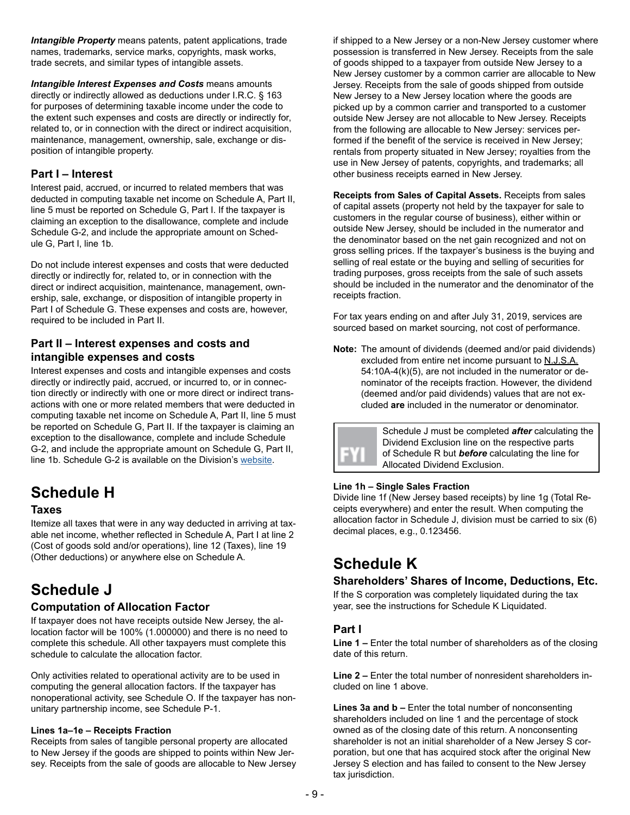*Intangible Property* means patents, patent applications, trade names, trademarks, service marks, copyrights, mask works, trade secrets, and similar types of intangible assets.

**Intangible Interest Expenses and Costs means amounts** directly or indirectly allowed as deductions under I.R.C. § 163 for purposes of determining taxable income under the code to the extent such expenses and costs are directly or indirectly for, related to, or in connection with the direct or indirect acquisition, maintenance, management, ownership, sale, exchange or disposition of intangible property.

## **Part I – Interest**

Interest paid, accrued, or incurred to related members that was deducted in computing taxable net income on Schedule A, Part II, line 5 must be reported on Schedule G, Part I. If the taxpayer is claiming an exception to the disallowance, complete and include Schedule G-2, and include the appropriate amount on Schedule G, Part I, line 1b.

Do not include interest expenses and costs that were deducted directly or indirectly for, related to, or in connection with the direct or indirect acquisition, maintenance, management, ownership, sale, exchange, or disposition of intangible property in Part I of Schedule G. These expenses and costs are, however, required to be included in Part II.

## **Part II – Interest expenses and costs and intangible expenses and costs**

Interest expenses and costs and intangible expenses and costs directly or indirectly paid, accrued, or incurred to, or in connection directly or indirectly with one or more direct or indirect transactions with one or more related members that were deducted in computing taxable net income on Schedule A, Part II, line 5 must be reported on Schedule G, Part II. If the taxpayer is claiming an exception to the disallowance, complete and include Schedule G-2, and include the appropriate amount on Schedule G, Part II, line 1b. Schedule G-2 is available on the Division's [website](https://www.state.nj.us/treasury/taxation/prntcbt.shtml).

# **Schedule H**

## **Taxes**

Itemize all taxes that were in any way deducted in arriving at taxable net income, whether reflected in Schedule A, Part I at line 2 (Cost of goods sold and/or operations), line 12 (Taxes), line 19 (Other deductions) or anywhere else on Schedule A.

# **Schedule J**

## **Computation of Allocation Factor**

If taxpayer does not have receipts outside New Jersey, the allocation factor will be 100% (1.000000) and there is no need to complete this schedule. All other taxpayers must complete this schedule to calculate the allocation factor.

Only activities related to operational activity are to be used in computing the general allocation factors. If the taxpayer has nonoperational activity, see Schedule O. If the taxpayer has nonunitary partnership income, see Schedule P-1.

## **Lines 1a–1e – Receipts Fraction**

Receipts from sales of tangible personal property are allocated to New Jersey if the goods are shipped to points within New Jersey. Receipts from the sale of goods are allocable to New Jersey if shipped to a New Jersey or a non-New Jersey customer where possession is transferred in New Jersey. Receipts from the sale of goods shipped to a taxpayer from outside New Jersey to a New Jersey customer by a common carrier are allocable to New Jersey. Receipts from the sale of goods shipped from outside New Jersey to a New Jersey location where the goods are picked up by a common carrier and transported to a customer outside New Jersey are not allocable to New Jersey. Receipts from the following are allocable to New Jersey: services performed if the benefit of the service is received in New Jersey; rentals from property situated in New Jersey; royalties from the use in New Jersey of patents, copyrights, and trademarks; all other business receipts earned in New Jersey.

**Receipts from Sales of Capital Assets.** Receipts from sales of capital assets (property not held by the taxpayer for sale to customers in the regular course of business), either within or outside New Jersey, should be included in the numerator and the denominator based on the net gain recognized and not on gross selling prices. If the taxpayer's business is the buying and selling of real estate or the buying and selling of securities for trading purposes, gross receipts from the sale of such assets should be included in the numerator and the denominator of the receipts fraction.

For tax years ending on and after July 31, 2019, services are sourced based on market sourcing, not cost of performance.

**Note:** The amount of dividends (deemed and/or paid dividends) excluded from entire net income pursuant to N.J.S.A. 54:10A-4(k)(5), are not included in the numerator or denominator of the receipts fraction. However, the dividend (deemed and/or paid dividends) values that are not excluded **are** included in the numerator or denominator.



Schedule J must be completed *after* calculating the Dividend Exclusion line on the respective parts of Schedule R but *before* calculating the line for Allocated Dividend Exclusion.

## **Line 1h – Single Sales Fraction**

Divide line 1f (New Jersey based receipts) by line 1g (Total Receipts everywhere) and enter the result. When computing the allocation factor in Schedule J, division must be carried to six (6) decimal places, e.g., 0.123456.

# **Schedule K**

## **Shareholders' Shares of Income, Deductions, Etc.**

If the S corporation was completely liquidated during the tax year, see the instructions for Schedule K Liquidated.

## **Part I**

**Line 1 –** Enter the total number of shareholders as of the closing date of this return.

**Line 2 –** Enter the total number of nonresident shareholders included on line 1 above.

**Lines 3a and b –** Enter the total number of nonconsenting shareholders included on line 1 and the percentage of stock owned as of the closing date of this return. A nonconsenting shareholder is not an initial shareholder of a New Jersey S corporation, but one that has acquired stock after the original New Jersey S election and has failed to consent to the New Jersey tax jurisdiction.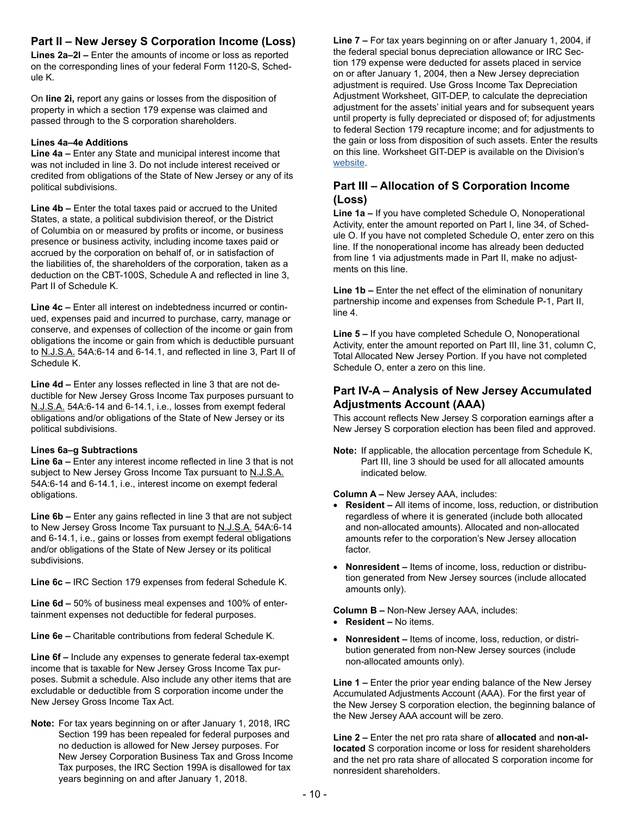## **Part II – New Jersey S Corporation Income (Loss)**

**Lines 2a–2l –** Enter the amounts of income or loss as reported on the corresponding lines of your federal Form 1120-S, Schedule K.

On **line 2i,** report any gains or losses from the disposition of property in which a section 179 expense was claimed and passed through to the S corporation shareholders.

#### **Lines 4a–4e Additions**

**Line 4a –** Enter any State and municipal interest income that was not included in line 3. Do not include interest received or credited from obligations of the State of New Jersey or any of its political subdivisions.

**Line 4b –** Enter the total taxes paid or accrued to the United States, a state, a political subdivision thereof, or the District of Columbia on or measured by profits or income, or business presence or business activity, including income taxes paid or accrued by the corporation on behalf of, or in satisfaction of the liabilities of, the shareholders of the corporation, taken as a deduction on the CBT-100S, Schedule A and reflected in line 3, Part II of Schedule K.

**Line 4c –** Enter all interest on indebtedness incurred or continued, expenses paid and incurred to purchase, carry, manage or conserve, and expenses of collection of the income or gain from obligations the income or gain from which is deductible pursuant to N.J.S.A. 54A:6-14 and 6-14.1, and reflected in line 3, Part II of Schedule K.

**Line 4d –** Enter any losses reflected in line 3 that are not deductible for New Jersey Gross Income Tax purposes pursuant to N.J.S.A. 54A:6-14 and 6-14.1, i.e., losses from exempt federal obligations and/or obligations of the State of New Jersey or its political subdivisions.

## **Lines 6a–g Subtractions**

**Line 6a –** Enter any interest income reflected in line 3 that is not subject to New Jersey Gross Income Tax pursuant to N.J.S.A. 54A:6-14 and 6-14.1, i.e., interest income on exempt federal obligations.

**Line 6b –** Enter any gains reflected in line 3 that are not subject to New Jersey Gross Income Tax pursuant to N.J.S.A. 54A:6-14 and 6-14.1, i.e., gains or losses from exempt federal obligations and/or obligations of the State of New Jersey or its political subdivisions.

**Line 6c –** IRC Section 179 expenses from federal Schedule K.

**Line 6d –** 50% of business meal expenses and 100% of entertainment expenses not deductible for federal purposes.

**Line 6e –** Charitable contributions from federal Schedule K.

**Line 6f –** Include any expenses to generate federal tax-exempt income that is taxable for New Jersey Gross Income Tax purposes. Submit a schedule. Also include any other items that are excludable or deductible from S corporation income under the New Jersey Gross Income Tax Act.

**Note:** For tax years beginning on or after January 1, 2018, IRC Section 199 has been repealed for federal purposes and no deduction is allowed for New Jersey purposes. For New Jersey Corporation Business Tax and Gross Income Tax purposes, the IRC Section 199A is disallowed for tax years beginning on and after January 1, 2018.

**Line 7 –** For tax years beginning on or after January 1, 2004, if the federal special bonus depreciation allowance or IRC Section 179 expense were deducted for assets placed in service on or after January 1, 2004, then a New Jersey depreciation adjustment is required. Use Gross Income Tax Depreciation Adjustment Worksheet, GIT-DEP, to calculate the depreciation adjustment for the assets' initial years and for subsequent years until property is fully depreciated or disposed of; for adjustments to federal Section 179 recapture income; and for adjustments to the gain or loss from disposition of such assets. Enter the results on this line. Worksheet GIT-DEP is available on the Division's [website.](https://www.nj.gov/treasury/taxation/prntgit.shtml)

## **Part III – Allocation of S Corporation Income (Loss)**

**Line 1a –** If you have completed Schedule O, Nonoperational Activity, enter the amount reported on Part I, line 34, of Schedule O. If you have not completed Schedule O, enter zero on this line. If the nonoperational income has already been deducted from line 1 via adjustments made in Part II, make no adjustments on this line.

**Line 1b –** Enter the net effect of the elimination of nonunitary partnership income and expenses from Schedule P-1, Part II, line 4.

**Line 5 –** If you have completed Schedule O, Nonoperational Activity, enter the amount reported on Part III, line 31, column C, Total Allocated New Jersey Portion. If you have not completed Schedule O, enter a zero on this line.

## **Part IV-A – Analysis of New Jersey Accumulated Adjustments Account (AAA)**

This account reflects New Jersey S corporation earnings after a New Jersey S corporation election has been filed and approved.

**Note:** If applicable, the allocation percentage from Schedule K, Part III, line 3 should be used for all allocated amounts indicated below.

**Column A –** New Jersey AAA, includes:

- **Resident** All items of income, loss, reduction, or distribution regardless of where it is generated (include both allocated and non-allocated amounts). Allocated and non-allocated amounts refer to the corporation's New Jersey allocation factor.
- **Nonresident** Items of income, loss, reduction or distribution generated from New Jersey sources (include allocated amounts only).

**Column B –** Non-New Jersey AAA, includes:

- **Resident** No items.
- **Nonresident** Items of income, loss, reduction, or distribution generated from non-New Jersey sources (include non-allocated amounts only).

**Line 1 –** Enter the prior year ending balance of the New Jersey Accumulated Adjustments Account (AAA). For the first year of the New Jersey S corporation election, the beginning balance of the New Jersey AAA account will be zero.

**Line 2 –** Enter the net pro rata share of **allocated** and **non-allocated** S corporation income or loss for resident shareholders and the net pro rata share of allocated S corporation income for nonresident shareholders.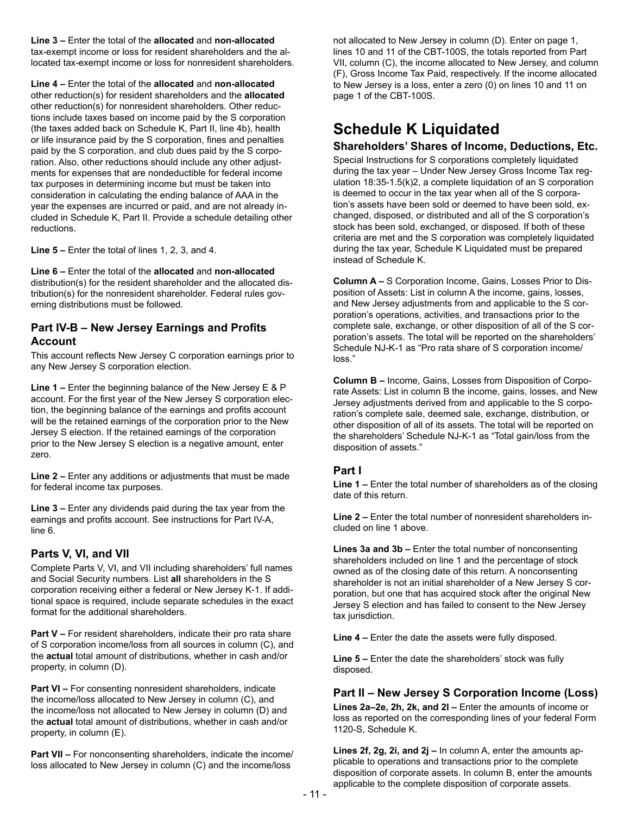**Line 3 –** Enter the total of the **allocated** and **non-allocated**  tax-exempt income or loss for resident shareholders and the allocated tax-exempt income or loss for nonresident shareholders.

**Line 4 –** Enter the total of the **allocated** and **non-allocated**  other reduction(s) for resident shareholders and the **allocated**  other reduction(s) for nonresident shareholders. Other reductions include taxes based on income paid by the S corporation (the taxes added back on Schedule K, Part II, line 4b), health or life insurance paid by the S corporation, fines and penalties paid by the S corporation, and club dues paid by the S corporation. Also, other reductions should include any other adjustments for expenses that are nondeductible for federal income tax purposes in determining income but must be taken into consideration in calculating the ending balance of AAA in the year the expenses are incurred or paid, and are not already included in Schedule K, Part II. Provide a schedule detailing other reductions.

**Line 5 –** Enter the total of lines 1, 2, 3, and 4.

**Line 6 –** Enter the total of the **allocated** and **non-allocated**  distribution(s) for the resident shareholder and the allocated distribution(s) for the nonresident shareholder. Federal rules governing distributions must be followed.

## **Part IV-B – New Jersey Earnings and Profits Account**

This account reflects New Jersey C corporation earnings prior to any New Jersey S corporation election.

**Line 1 –** Enter the beginning balance of the New Jersey E & P account. For the first year of the New Jersey S corporation election, the beginning balance of the earnings and profits account will be the retained earnings of the corporation prior to the New Jersey S election. If the retained earnings of the corporation prior to the New Jersey S election is a negative amount, enter zero.

**Line 2 –** Enter any additions or adjustments that must be made for federal income tax purposes.

**Line 3 –** Enter any dividends paid during the tax year from the earnings and profits account. See instructions for Part IV-A, line 6.

## **Parts V, VI, and VII**

Complete Parts V, VI, and VII including shareholders' full names and Social Security numbers. List **all** shareholders in the S corporation receiving either a federal or New Jersey K-1. If additional space is required, include separate schedules in the exact format for the additional shareholders.

**Part V –** For resident shareholders, indicate their pro rata share of S corporation income/loss from all sources in column (C), and the **actual** total amount of distributions, whether in cash and/or property, in column (D).

**Part VI –** For consenting nonresident shareholders, indicate the income/loss allocated to New Jersey in column (C), and the income/loss not allocated to New Jersey in column (D) and the **actual** total amount of distributions, whether in cash and/or property, in column (E).

**Part VII –** For nonconsenting shareholders, indicate the income/ loss allocated to New Jersey in column (C) and the income/loss

not allocated to New Jersey in column (D). Enter on page 1, lines 10 and 11 of the CBT-100S, the totals reported from Part VII, column (C), the income allocated to New Jersey, and column (F), Gross Income Tax Paid, respectively. If the income allocated to New Jersey is a loss, enter a zero (0) on lines 10 and 11 on page 1 of the CBT-100S.

# **Schedule K Liquidated**

## **Shareholders' Shares of Income, Deductions, Etc.**

Special Instructions for S corporations completely liquidated during the tax year – Under New Jersey Gross Income Tax regulation 18:35-1.5(k)2, a complete liquidation of an S corporation is deemed to occur in the tax year when all of the S corporation's assets have been sold or deemed to have been sold, exchanged, disposed, or distributed and all of the S corporation's stock has been sold, exchanged, or disposed. If both of these criteria are met and the S corporation was completely liquidated during the tax year, Schedule K Liquidated must be prepared instead of Schedule K.

**Column A –** S Corporation Income, Gains, Losses Prior to Disposition of Assets: List in column A the income, gains, losses, and New Jersey adjustments from and applicable to the S corporation's operations, activities, and transactions prior to the complete sale, exchange, or other disposition of all of the S corporation's assets. The total will be reported on the shareholders' Schedule NJ-K-1 as "Pro rata share of S corporation income/ loss."

**Column B –** Income, Gains, Losses from Disposition of Corporate Assets: List in column B the income, gains, losses, and New Jersey adjustments derived from and applicable to the S corporation's complete sale, deemed sale, exchange, distribution, or other disposition of all of its assets. The total will be reported on the shareholders' Schedule NJ-K-1 as "Total gain/loss from the disposition of assets."

## **Part I**

**Line 1 –** Enter the total number of shareholders as of the closing date of this return.

**Line 2 –** Enter the total number of nonresident shareholders included on line 1 above.

**Lines 3a and 3b –** Enter the total number of nonconsenting shareholders included on line 1 and the percentage of stock owned as of the closing date of this return. A nonconsenting shareholder is not an initial shareholder of a New Jersey S corporation, but one that has acquired stock after the original New Jersey S election and has failed to consent to the New Jersey tax jurisdiction.

**Line 4 –** Enter the date the assets were fully disposed.

**Line 5 –** Enter the date the shareholders' stock was fully disposed.

## **Part II – New Jersey S Corporation Income (Loss)**

**Lines 2a–2e, 2h, 2k, and 2l –** Enter the amounts of income or loss as reported on the corresponding lines of your federal Form 1120-S, Schedule K.

**Lines 2f, 2g, 2i, and 2j –** In column A, enter the amounts applicable to operations and transactions prior to the complete disposition of corporate assets. In column B, enter the amounts applicable to the complete disposition of corporate assets.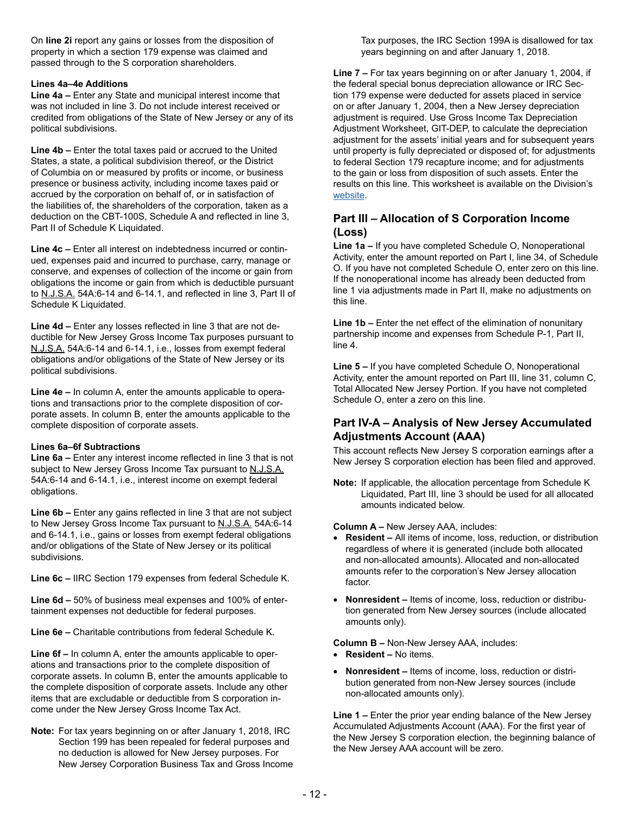On **line 2i** report any gains or losses from the disposition of property in which a section 179 expense was claimed and passed through to the S corporation shareholders.

#### **Lines 4a–4e Additions**

**Line 4a –** Enter any State and municipal interest income that was not included in line 3. Do not include interest received or credited from obligations of the State of New Jersey or any of its political subdivisions.

**Line 4b –** Enter the total taxes paid or accrued to the United States, a state, a political subdivision thereof, or the District of Columbia on or measured by profits or income, or business presence or business activity, including income taxes paid or accrued by the corporation on behalf of, or in satisfaction of the liabilities of, the shareholders of the corporation, taken as a deduction on the CBT-100S, Schedule A and reflected in line 3, Part II of Schedule K Liquidated.

**Line 4c –** Enter all interest on indebtedness incurred or continued, expenses paid and incurred to purchase, carry, manage or conserve, and expenses of collection of the income or gain from obligations the income or gain from which is deductible pursuant to N.J.S.A. 54A:6-14 and 6-14.1, and reflected in line 3, Part II of Schedule K Liquidated.

**Line 4d –** Enter any losses reflected in line 3 that are not deductible for New Jersey Gross Income Tax purposes pursuant to N.J.S.A. 54A:6-14 and 6-14.1, i.e., losses from exempt federal obligations and/or obligations of the State of New Jersey or its political subdivisions.

**Line 4e –** In column A, enter the amounts applicable to operations and transactions prior to the complete disposition of corporate assets. In column B, enter the amounts applicable to the complete disposition of corporate assets.

## **Lines 6a–6f Subtractions**

**Line 6a –** Enter any interest income reflected in line 3 that is not subject to New Jersey Gross Income Tax pursuant to N.J.S.A. 54A:6-14 and 6-14.1, i.e., interest income on exempt federal obligations.

**Line 6b –** Enter any gains reflected in line 3 that are not subject to New Jersey Gross Income Tax pursuant to N.J.S.A. 54A:6-14 and 6-14.1, i.e., gains or losses from exempt federal obligations and/or obligations of the State of New Jersey or its political subdivisions.

**Line 6c –** IIRC Section 179 expenses from federal Schedule K.

**Line 6d –** 50% of business meal expenses and 100% of entertainment expenses not deductible for federal purposes.

**Line 6e –** Charitable contributions from federal Schedule K.

**Line 6f –** In column A, enter the amounts applicable to operations and transactions prior to the complete disposition of corporate assets. In column B, enter the amounts applicable to the complete disposition of corporate assets. Include any other items that are excludable or deductible from S corporation income under the New Jersey Gross Income Tax Act.

**Note:** For tax years beginning on or after January 1, 2018, IRC Section 199 has been repealed for federal purposes and no deduction is allowed for New Jersey purposes. For New Jersey Corporation Business Tax and Gross Income Tax purposes, the IRC Section 199A is disallowed for tax years beginning on and after January 1, 2018.

**Line 7 –** For tax years beginning on or after January 1, 2004, if the federal special bonus depreciation allowance or IRC Section 179 expense were deducted for assets placed in service on or after January 1, 2004, then a New Jersey depreciation adjustment is required. Use Gross Income Tax Depreciation Adjustment Worksheet, GIT-DEP, to calculate the depreciation adjustment for the assets' initial years and for subsequent years until property is fully depreciated or disposed of; for adjustments to federal Section 179 recapture income; and for adjustments to the gain or loss from disposition of such assets. Enter the results on this line. This worksheet is available on the Division's [website.](https://www.nj.gov/treasury/taxation/prntgit.shtml)

## **Part III – Allocation of S Corporation Income (Loss)**

**Line 1a –** If you have completed Schedule O, Nonoperational Activity, enter the amount reported on Part I, line 34, of Schedule O. If you have not completed Schedule O, enter zero on this line. If the nonoperational income has already been deducted from line 1 via adjustments made in Part II, make no adjustments on this line.

**Line 1b –** Enter the net effect of the elimination of nonunitary partnership income and expenses from Schedule P-1, Part II, line 4.

**Line 5 –** If you have completed Schedule O, Nonoperational Activity, enter the amount reported on Part III, line 31, column C, Total Allocated New Jersey Portion. If you have not completed Schedule O, enter a zero on this line.

## **Part IV-A – Analysis of New Jersey Accumulated Adjustments Account (AAA)**

This account reflects New Jersey S corporation earnings after a New Jersey S corporation election has been filed and approved.

**Note:** If applicable, the allocation percentage from Schedule K Liquidated, Part III, line 3 should be used for all allocated amounts indicated below.

**Column A –** New Jersey AAA, includes:

- **Resident** All items of income, loss, reduction, or distribution regardless of where it is generated (include both allocated and non-allocated amounts). Allocated and non-allocated amounts refer to the corporation's New Jersey allocation factor.
- **Nonresident** Items of income, loss, reduction or distribution generated from New Jersey sources (include allocated amounts only).

**Column B –** Non-New Jersey AAA, includes:

- **Resident** No items.
- **Nonresident** Items of income, loss, reduction or distribution generated from non-New Jersey sources (include non-allocated amounts only).

**Line 1 –** Enter the prior year ending balance of the New Jersey Accumulated Adjustments Account (AAA). For the first year of the New Jersey S corporation election, the beginning balance of the New Jersey AAA account will be zero.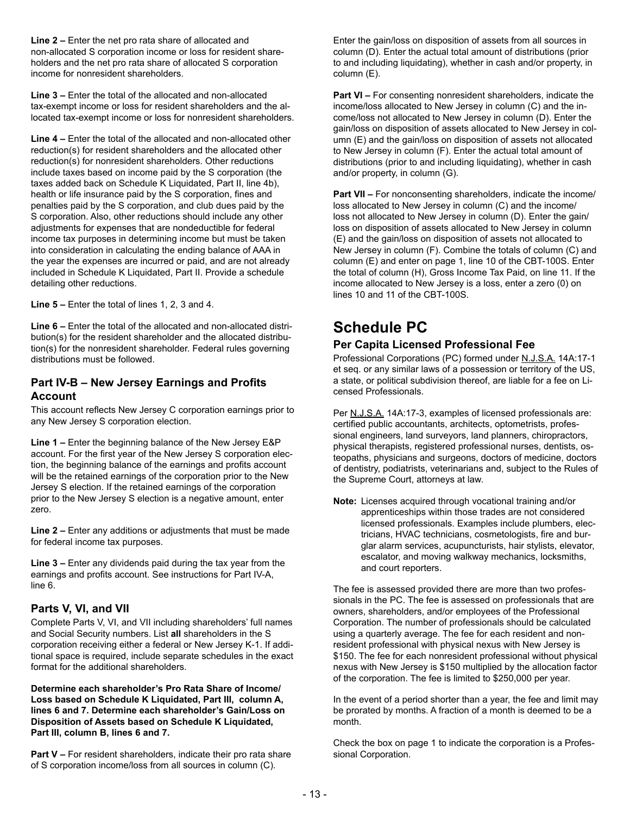**Line 2 –** Enter the net pro rata share of allocated and non-allocated S corporation income or loss for resident shareholders and the net pro rata share of allocated S corporation income for nonresident shareholders.

**Line 3 –** Enter the total of the allocated and non-allocated tax-exempt income or loss for resident shareholders and the allocated tax-exempt income or loss for nonresident shareholders.

**Line 4 –** Enter the total of the allocated and non-allocated other reduction(s) for resident shareholders and the allocated other reduction(s) for nonresident shareholders. Other reductions include taxes based on income paid by the S corporation (the taxes added back on Schedule K Liquidated, Part II, line 4b), health or life insurance paid by the S corporation, fines and penalties paid by the S corporation, and club dues paid by the S corporation. Also, other reductions should include any other adjustments for expenses that are nondeductible for federal income tax purposes in determining income but must be taken into consideration in calculating the ending balance of AAA in the year the expenses are incurred or paid, and are not already included in Schedule K Liquidated, Part II. Provide a schedule detailing other reductions.

**Line 5 –** Enter the total of lines 1, 2, 3 and 4.

**Line 6 –** Enter the total of the allocated and non-allocated distribution(s) for the resident shareholder and the allocated distribution(s) for the nonresident shareholder. Federal rules governing distributions must be followed.

## **Part IV-B – New Jersey Earnings and Profits Account**

This account reflects New Jersey C corporation earnings prior to any New Jersey S corporation election.

**Line 1 –** Enter the beginning balance of the New Jersey E&P account. For the first year of the New Jersey S corporation election, the beginning balance of the earnings and profits account will be the retained earnings of the corporation prior to the New Jersey S election. If the retained earnings of the corporation prior to the New Jersey S election is a negative amount, enter zero.

**Line 2 –** Enter any additions or adjustments that must be made for federal income tax purposes.

**Line 3 –** Enter any dividends paid during the tax year from the earnings and profits account. See instructions for Part IV-A, line 6.

## **Parts V, VI, and VII**

Complete Parts V, VI, and VII including shareholders' full names and Social Security numbers. List **all** shareholders in the S corporation receiving either a federal or New Jersey K-1. If additional space is required, include separate schedules in the exact format for the additional shareholders.

**Determine each shareholder's Pro Rata Share of Income/ Loss based on Schedule K Liquidated, Part III, column A, lines 6 and 7. Determine each shareholder's Gain/Loss on Disposition of Assets based on Schedule K Liquidated, Part III, column B, lines 6 and 7.**

**Part V –** For resident shareholders, indicate their pro rata share of S corporation income/loss from all sources in column (C).

Enter the gain/loss on disposition of assets from all sources in column (D). Enter the actual total amount of distributions (prior to and including liquidating), whether in cash and/or property, in column (E).

**Part VI –** For consenting nonresident shareholders, indicate the income/loss allocated to New Jersey in column (C) and the income/loss not allocated to New Jersey in column (D). Enter the gain/loss on disposition of assets allocated to New Jersey in column (E) and the gain/loss on disposition of assets not allocated to New Jersey in column (F). Enter the actual total amount of distributions (prior to and including liquidating), whether in cash and/or property, in column (G).

**Part VII –** For nonconsenting shareholders, indicate the income/ loss allocated to New Jersey in column (C) and the income/ loss not allocated to New Jersey in column (D). Enter the gain/ loss on disposition of assets allocated to New Jersey in column (E) and the gain/loss on disposition of assets not allocated to New Jersey in column (F). Combine the totals of column (C) and column (E) and enter on page 1, line 10 of the CBT-100S. Enter the total of column (H), Gross Income Tax Paid, on line 11. If the income allocated to New Jersey is a loss, enter a zero (0) on lines 10 and 11 of the CBT-100S.

# **Schedule PC**

## **Per Capita Licensed Professional Fee**

Professional Corporations (PC) formed under N.J.S.A. 14A:17-1 et seq. or any similar laws of a possession or territory of the US, a state, or political subdivision thereof, are liable for a fee on Licensed Professionals.

Per N.J.S.A. 14A:17-3, examples of licensed professionals are: certified public accountants, architects, optometrists, professional engineers, land surveyors, land planners, chiropractors, physical therapists, registered professional nurses, dentists, osteopaths, physicians and surgeons, doctors of medicine, doctors of dentistry, podiatrists, veterinarians and, subject to the Rules of the Supreme Court, attorneys at law.

**Note:** Licenses acquired through vocational training and/or apprenticeships within those trades are not considered licensed professionals. Examples include plumbers, electricians, HVAC technicians, cosmetologists, fire and burglar alarm services, acupuncturists, hair stylists, elevator, escalator, and moving walkway mechanics, locksmiths, and court reporters.

The fee is assessed provided there are more than two professionals in the PC. The fee is assessed on professionals that are owners, shareholders, and/or employees of the Professional Corporation. The number of professionals should be calculated using a quarterly average. The fee for each resident and nonresident professional with physical nexus with New Jersey is \$150. The fee for each nonresident professional without physical nexus with New Jersey is \$150 multiplied by the allocation factor of the corporation. The fee is limited to \$250,000 per year.

In the event of a period shorter than a year, the fee and limit may be prorated by months. A fraction of a month is deemed to be a month.

Check the box on page 1 to indicate the corporation is a Professional Corporation.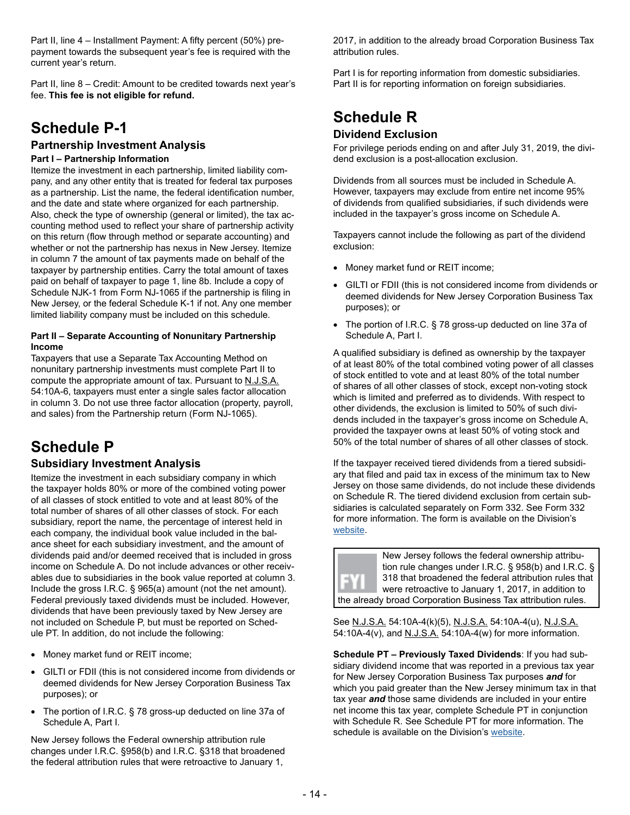Part II, line 4 – Installment Payment: A fifty percent (50%) prepayment towards the subsequent year's fee is required with the current year's return.

Part II, line 8 – Credit: Amount to be credited towards next year's fee. **This fee is not eligible for refund.**

# **Schedule P-1**

## **Partnership Investment Analysis**

#### **Part I – Partnership Information**

Itemize the investment in each partnership, limited liability company, and any other entity that is treated for federal tax purposes as a partnership. List the name, the federal identification number, and the date and state where organized for each partnership. Also, check the type of ownership (general or limited), the tax accounting method used to reflect your share of partnership activity on this return (flow through method or separate accounting) and whether or not the partnership has nexus in New Jersey. Itemize in column 7 the amount of tax payments made on behalf of the taxpayer by partnership entities. Carry the total amount of taxes paid on behalf of taxpayer to page 1, line 8b. Include a copy of Schedule NJK-1 from Form NJ-1065 if the partnership is filing in New Jersey, or the federal Schedule K-1 if not. Any one member limited liability company must be included on this schedule.

#### **Part II – Separate Accounting of Nonunitary Partnership Income**

Taxpayers that use a Separate Tax Accounting Method on nonunitary partnership investments must complete Part II to compute the appropriate amount of tax. Pursuant to N.J.S.A. 54:10A-6, taxpayers must enter a single sales factor allocation in column 3. Do not use three factor allocation (property, payroll, and sales) from the Partnership return (Form NJ-1065).

# **Schedule P**

## **Subsidiary Investment Analysis**

Itemize the investment in each subsidiary company in which the taxpayer holds 80% or more of the combined voting power of all classes of stock entitled to vote and at least 80% of the total number of shares of all other classes of stock. For each subsidiary, report the name, the percentage of interest held in each company, the individual book value included in the balance sheet for each subsidiary investment, and the amount of dividends paid and/or deemed received that is included in gross income on Schedule A. Do not include advances or other receivables due to subsidiaries in the book value reported at column 3. Include the gross I.R.C. § 965(a) amount (not the net amount). Federal previously taxed dividends must be included. However, dividends that have been previously taxed by New Jersey are not included on Schedule P, but must be reported on Schedule PT. In addition, do not include the following:

- Money market fund or REIT income;
- GILTI or FDII (this is not considered income from dividends or deemed dividends for New Jersey Corporation Business Tax purposes); or
- The portion of I.R.C. § 78 gross-up deducted on line 37a of Schedule A, Part I.

New Jersey follows the Federal ownership attribution rule changes under I.R.C. §958(b) and I.R.C. §318 that broadened the federal attribution rules that were retroactive to January 1,

2017, in addition to the already broad Corporation Business Tax attribution rules.

Part I is for reporting information from domestic subsidiaries. Part II is for reporting information on foreign subsidiaries.

## **Schedule R Dividend Exclusion**

For privilege periods ending on and after July 31, 2019, the dividend exclusion is a post-allocation exclusion.

Dividends from all sources must be included in Schedule A. However, taxpayers may exclude from entire net income 95% of dividends from qualified subsidiaries, if such dividends were included in the taxpayer's gross income on Schedule A.

Taxpayers cannot include the following as part of the dividend exclusion:

- Money market fund or REIT income;
- GILTI or FDII (this is not considered income from dividends or deemed dividends for New Jersey Corporation Business Tax purposes); or
- The portion of I.R.C. § 78 gross-up deducted on line 37a of Schedule A, Part I.

A qualified subsidiary is defined as ownership by the taxpayer of at least 80% of the total combined voting power of all classes of stock entitled to vote and at least 80% of the total number of shares of all other classes of stock, except non-voting stock which is limited and preferred as to dividends. With respect to other dividends, the exclusion is limited to 50% of such dividends included in the taxpayer's gross income on Schedule A, provided the taxpayer owns at least 50% of voting stock and 50% of the total number of shares of all other classes of stock.

If the taxpayer received tiered dividends from a tiered subsidiary that filed and paid tax in excess of the minimum tax to New Jersey on those same dividends, do not include these dividends on Schedule R. The tiered dividend exclusion from certain subsidiaries is calculated separately on Form 332. See Form 332 for more information. The form is available on the Division's [website.](https://www.state.nj.us/treasury/taxation/prntcbt.shtml)

New Jersey follows the federal ownership attribution rule changes under I.R.C. § 958(b) and I.R.C. § 318 that broadened the federal attribution rules that were retroactive to January 1, 2017, in addition to the already broad Corporation Business Tax attribution rules.

See N.J.S.A. 54:10A-4(k)(5), N.J.S.A. 54:10A-4(u), N.J.S.A. 54:10A-4(v), and N.J.S.A. 54:10A-4(w) for more information.

**Schedule PT – Previously Taxed Dividends**: If you had subsidiary dividend income that was reported in a previous tax year for New Jersey Corporation Business Tax purposes *and* for which you paid greater than the New Jersey minimum tax in that tax year *and* those same dividends are included in your entire net income this tax year, complete Schedule PT in conjunction with Schedule R. See Schedule PT for more information. The schedule is available on the Division's [website.](https://www.state.nj.us/treasury/taxation/prntcbt.shtml)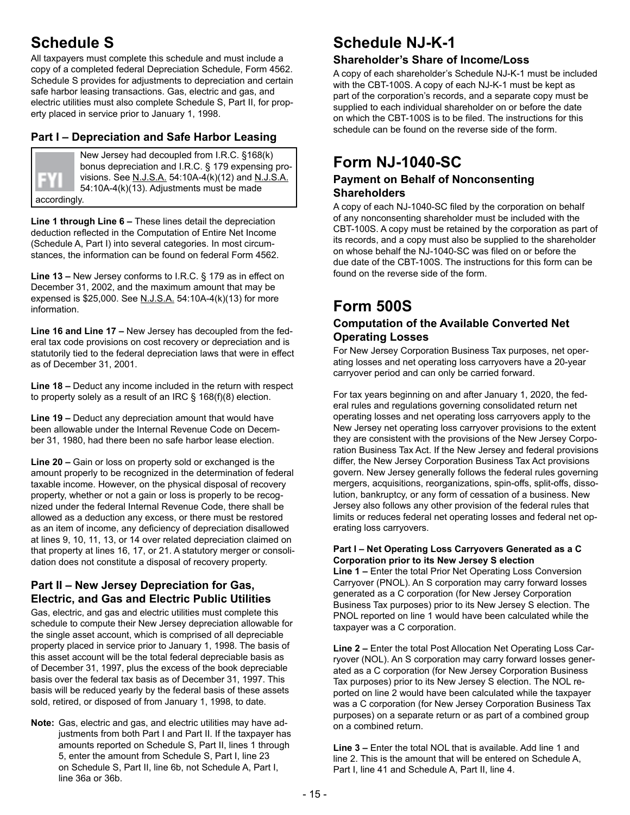# **Schedule S**

All taxpayers must complete this schedule and must include a copy of a completed federal Depreciation Schedule, Form 4562. Schedule S provides for adjustments to depreciation and certain safe harbor leasing transactions. Gas, electric and gas, and electric utilities must also complete Schedule S, Part II, for property placed in service prior to January 1, 1998.

## **Part I – Depreciation and Safe Harbor Leasing**

New Jersey had decoupled from I.R.C. §168(k) bonus depreciation and I.R.C. § 179 expensing provisions. See N.J.S.A. 54:10A-4(k)(12) and N.J.S.A. 54:10A-4(k)(13). Adjustments must be made

accordingly.

**Line 1 through Line 6 –** These lines detail the depreciation deduction reflected in the Computation of Entire Net Income (Schedule A, Part I) into several categories. In most circumstances, the information can be found on federal Form 4562.

**Line 13 –** New Jersey conforms to I.R.C. § 179 as in effect on December 31, 2002, and the maximum amount that may be expensed is \$25,000. See N.J.S.A. 54:10A-4(k)(13) for more information.

**Line 16 and Line 17 –** New Jersey has decoupled from the federal tax code provisions on cost recovery or depreciation and is statutorily tied to the federal depreciation laws that were in effect as of December 31, 2001.

**Line 18 –** Deduct any income included in the return with respect to property solely as a result of an IRC § 168(f)(8) election.

**Line 19 –** Deduct any depreciation amount that would have been allowable under the Internal Revenue Code on December 31, 1980, had there been no safe harbor lease election.

**Line 20 –** Gain or loss on property sold or exchanged is the amount properly to be recognized in the determination of federal taxable income. However, on the physical disposal of recovery property, whether or not a gain or loss is properly to be recognized under the federal Internal Revenue Code, there shall be allowed as a deduction any excess, or there must be restored as an item of income, any deficiency of depreciation disallowed at lines 9, 10, 11, 13, or 14 over related depreciation claimed on that property at lines 16, 17, or 21. A statutory merger or consolidation does not constitute a disposal of recovery property.

## **Part II – New Jersey Depreciation for Gas, Electric, and Gas and Electric Public Utilities**

Gas, electric, and gas and electric utilities must complete this schedule to compute their New Jersey depreciation allowable for the single asset account, which is comprised of all depreciable property placed in service prior to January 1, 1998. The basis of this asset account will be the total federal depreciable basis as of December 31, 1997, plus the excess of the book depreciable basis over the federal tax basis as of December 31, 1997. This basis will be reduced yearly by the federal basis of these assets sold, retired, or disposed of from January 1, 1998, to date.

**Note:** Gas, electric and gas, and electric utilities may have adjustments from both Part I and Part II. If the taxpayer has amounts reported on Schedule S, Part II, lines 1 through 5, enter the amount from Schedule S, Part I, line 23 on Schedule S, Part II, line 6b, not Schedule A, Part I, line 36a or 36b.

# **Schedule NJ-K-1**

## **Shareholder's Share of Income/Loss**

A copy of each shareholder's Schedule NJ-K-1 must be included with the CBT-100S. A copy of each NJ-K-1 must be kept as part of the corporation's records, and a separate copy must be supplied to each individual shareholder on or before the date on which the CBT-100S is to be filed. The instructions for this schedule can be found on the reverse side of the form.

# **Form NJ-1040-SC**

## **Payment on Behalf of Nonconsenting Shareholders**

A copy of each NJ-1040-SC filed by the corporation on behalf of any nonconsenting shareholder must be included with the CBT-100S. A copy must be retained by the corporation as part of its records, and a copy must also be supplied to the shareholder on whose behalf the NJ-1040-SC was filed on or before the due date of the CBT-100S. The instructions for this form can be found on the reverse side of the form.

# **Form 500S**

## **Computation of the Available Converted Net Operating Losses**

For New Jersey Corporation Business Tax purposes, net operating losses and net operating loss carryovers have a 20-year carryover period and can only be carried forward.

For tax years beginning on and after January 1, 2020, the federal rules and regulations governing consolidated return net operating losses and net operating loss carryovers apply to the New Jersey net operating loss carryover provisions to the extent they are consistent with the provisions of the New Jersey Corporation Business Tax Act. If the New Jersey and federal provisions differ, the New Jersey Corporation Business Tax Act provisions govern. New Jersey generally follows the federal rules governing mergers, acquisitions, reorganizations, spin-offs, split-offs, dissolution, bankruptcy, or any form of cessation of a business. New Jersey also follows any other provision of the federal rules that limits or reduces federal net operating losses and federal net operating loss carryovers.

#### **Part I – Net Operating Loss Carryovers Generated as a C Corporation prior to its New Jersey S election**

**Line 1 –** Enter the total Prior Net Operating Loss Conversion Carryover (PNOL). An S corporation may carry forward losses generated as a C corporation (for New Jersey Corporation Business Tax purposes) prior to its New Jersey S election. The PNOL reported on line 1 would have been calculated while the taxpayer was a C corporation.

**Line 2 –** Enter the total Post Allocation Net Operating Loss Carryover (NOL). An S corporation may carry forward losses generated as a C corporation (for New Jersey Corporation Business Tax purposes) prior to its New Jersey S election. The NOL reported on line 2 would have been calculated while the taxpayer was a C corporation (for New Jersey Corporation Business Tax purposes) on a separate return or as part of a combined group on a combined return.

**Line 3 –** Enter the total NOL that is available. Add line 1 and line 2. This is the amount that will be entered on Schedule A, Part I, line 41 and Schedule A, Part II, line 4.